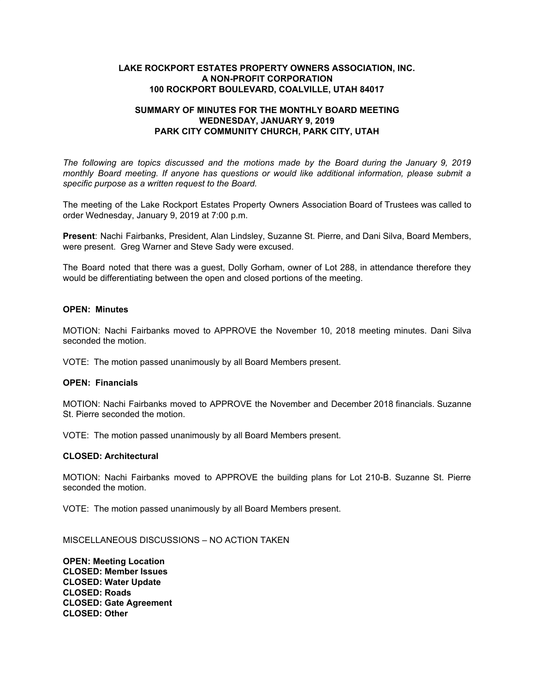## **LAKE ROCKPORT ESTATES PROPERTY OWNERS ASSOCIATION, INC. A NON-PROFIT CORPORATION 100 ROCKPORT BOULEVARD, COALVILLE, UTAH 84017**

# **SUMMARY OF MINUTES FOR THE MONTHLY BOARD MEETING WEDNESDAY, JANUARY 9, 2019 PARK CITY COMMUNITY CHURCH, PARK CITY, UTAH**

*The following are topics discussed and the motions made by the Board during the January 9, 2019 monthly Board meeting. If anyone has questions or would like additional information, please submit a specific purpose as a written request to the Board.*

The meeting of the Lake Rockport Estates Property Owners Association Board of Trustees was called to order Wednesday, January 9, 2019 at 7:00 p.m.

**Present**: Nachi Fairbanks, President, Alan Lindsley, Suzanne St. Pierre, and Dani Silva, Board Members, were present. Greg Warner and Steve Sady were excused.

The Board noted that there was a guest, Dolly Gorham, owner of Lot 288, in attendance therefore they would be differentiating between the open and closed portions of the meeting.

### **OPEN: Minutes**

MOTION: Nachi Fairbanks moved to APPROVE the November 10, 2018 meeting minutes. Dani Silva seconded the motion.

VOTE: The motion passed unanimously by all Board Members present.

### **OPEN: Financials**

MOTION: Nachi Fairbanks moved to APPROVE the November and December 2018 financials. Suzanne St. Pierre seconded the motion.

VOTE: The motion passed unanimously by all Board Members present.

### **CLOSED: Architectural**

MOTION: Nachi Fairbanks moved to APPROVE the building plans for Lot 210-B. Suzanne St. Pierre seconded the motion.

VOTE: The motion passed unanimously by all Board Members present.

MISCELLANEOUS DISCUSSIONS – NO ACTION TAKEN

**OPEN: Meeting Location CLOSED: Member Issues CLOSED: Water Update CLOSED: Roads CLOSED: Gate Agreement CLOSED: Other**